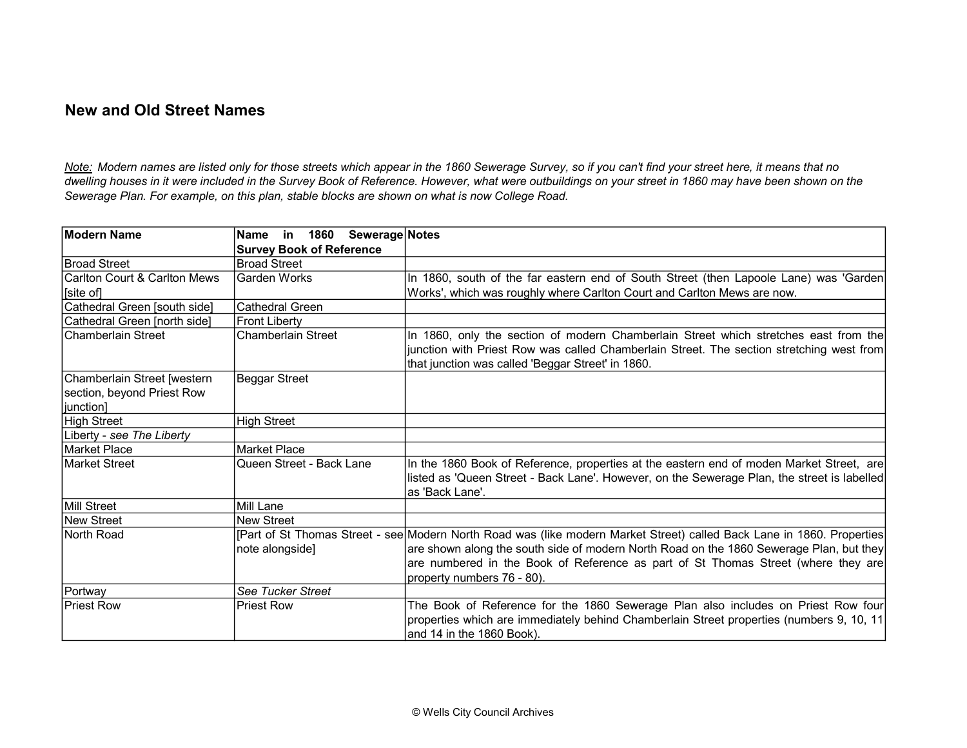## New and Old Street Names

Note: Modern names are listed only for those streets which appear in the 1860 Sewerage Survey, so if you can't find your street here, it means that no dwelling houses in it were included in the Survey Book of Reference. However, what were outbuildings on your street in 1860 may have been shown on the Sewerage Plan. For example, on this plan, stable blocks are shown on what is now College Road.

| Modern Name                  | Name in 1860 Sewerage Notes     |                                                                                                                        |
|------------------------------|---------------------------------|------------------------------------------------------------------------------------------------------------------------|
|                              | <b>Survey Book of Reference</b> |                                                                                                                        |
| Broad Street                 | <b>Broad Street</b>             |                                                                                                                        |
| Carlton Court & Carlton Mews | Garden Works                    | In 1860, south of the far eastern end of South Street (then Lapoole Lane) was 'Garden                                  |
| [site of]                    |                                 | Works', which was roughly where Carlton Court and Carlton Mews are now.                                                |
| Cathedral Green [south side] | <b>Cathedral Green</b>          |                                                                                                                        |
| Cathedral Green [north side] | <b>Front Liberty</b>            |                                                                                                                        |
| Chamberlain Street           | <b>Chamberlain Street</b>       | In 1860, only the section of modern Chamberlain Street which stretches east from the                                   |
|                              |                                 | junction with Priest Row was called Chamberlain Street. The section stretching west from                               |
|                              |                                 | that junction was called 'Beggar Street' in 1860.                                                                      |
| Chamberlain Street [western  | <b>Beggar Street</b>            |                                                                                                                        |
| section, beyond Priest Row   |                                 |                                                                                                                        |
| junction]                    |                                 |                                                                                                                        |
| <b>High Street</b>           | <b>High Street</b>              |                                                                                                                        |
| Liberty - see The Liberty    |                                 |                                                                                                                        |
| Market Place                 | <b>Market Place</b>             |                                                                                                                        |
| lMarket Street               | Queen Street - Back Lane        | In the 1860 Book of Reference, properties at the eastern end of moden Market Street, are                               |
|                              |                                 | listed as 'Queen Street - Back Lane'. However, on the Sewerage Plan, the street is labelled                            |
|                              |                                 | as 'Back Lane'.                                                                                                        |
| Mill Street                  | Mill Lane                       |                                                                                                                        |
| New Street                   | <b>New Street</b>               |                                                                                                                        |
| North Road                   |                                 | [Part of St Thomas Street - see Modern North Road was (like modern Market Street) called Back Lane in 1860. Properties |
|                              | note alongside]                 | are shown along the south side of modern North Road on the 1860 Sewerage Plan, but they                                |
|                              |                                 | are numbered in the Book of Reference as part of St Thomas Street (where they are                                      |
|                              |                                 | property numbers 76 - 80).                                                                                             |
| Portway                      | See Tucker Street               |                                                                                                                        |
| <b>Priest Row</b>            | <b>Priest Row</b>               | The Book of Reference for the 1860 Sewerage Plan also includes on Priest Row four                                      |
|                              |                                 | properties which are immediately behind Chamberlain Street properties (numbers 9, 10, 11                               |
|                              |                                 | and 14 in the 1860 Book).                                                                                              |